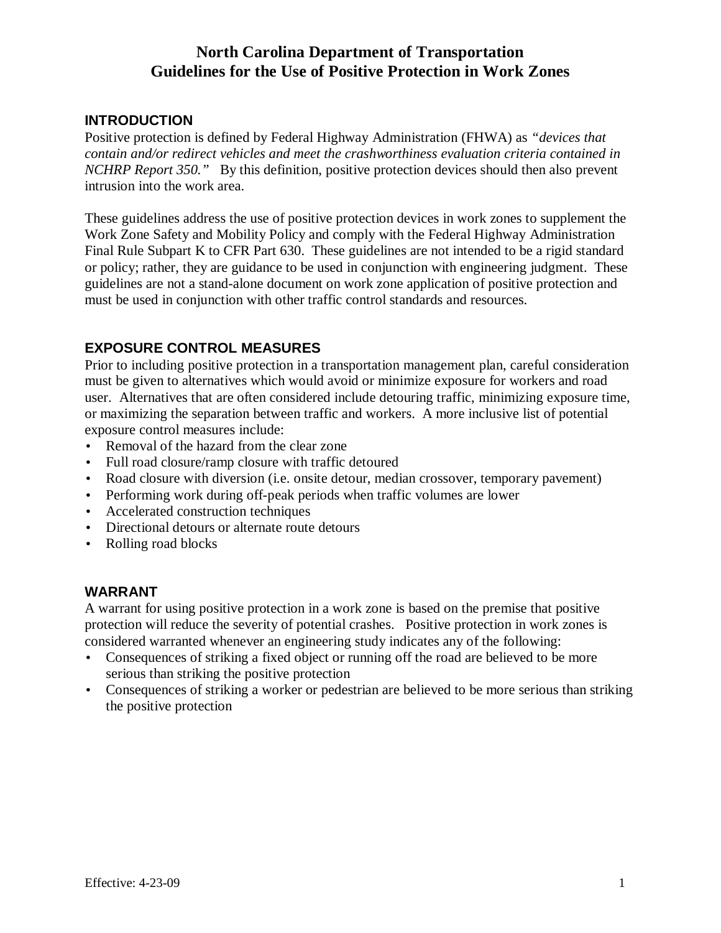# **North Carolina Department of Transportation Guidelines for the Use of Positive Protection in Work Zones**

## **INTRODUCTION**

Positive protection is defined by Federal Highway Administration (FHWA) as *"devices that contain and/or redirect vehicles and meet the crashworthiness evaluation criteria contained in NCHRP Report 350."* By this definition, positive protection devices should then also prevent intrusion into the work area.

These guidelines address the use of positive protection devices in work zones to supplement the Work Zone Safety and Mobility Policy and comply with the Federal Highway Administration Final Rule Subpart K to CFR Part 630. These guidelines are not intended to be a rigid standard or policy; rather, they are guidance to be used in conjunction with engineering judgment. These guidelines are not a stand-alone document on work zone application of positive protection and must be used in conjunction with other traffic control standards and resources.

# **EXPOSURE CONTROL MEASURES**

Prior to including positive protection in a transportation management plan, careful consideration must be given to alternatives which would avoid or minimize exposure for workers and road user. Alternatives that are often considered include detouring traffic, minimizing exposure time, or maximizing the separation between traffic and workers. A more inclusive list of potential exposure control measures include:

- Removal of the hazard from the clear zone
- Full road closure/ramp closure with traffic detoured
- Road closure with diversion (i.e. onsite detour, median crossover, temporary pavement)
- Performing work during off-peak periods when traffic volumes are lower
- Accelerated construction techniques
- Directional detours or alternate route detours
- Rolling road blocks

## **WARRANT**

A warrant for using positive protection in a work zone is based on the premise that positive protection will reduce the severity of potential crashes. Positive protection in work zones is considered warranted whenever an engineering study indicates any of the following:

- Consequences of striking a fixed object or running off the road are believed to be more serious than striking the positive protection
- Consequences of striking a worker or pedestrian are believed to be more serious than striking the positive protection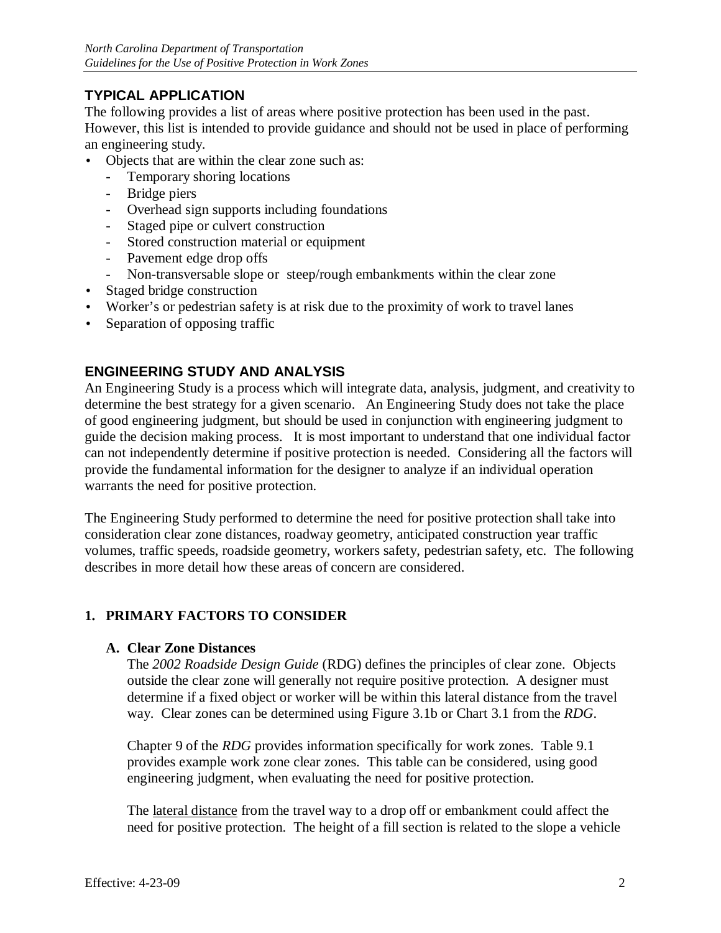# **TYPICAL APPLICATION**

The following provides a list of areas where positive protection has been used in the past. However, this list is intended to provide guidance and should not be used in place of performing an engineering study.

- Objects that are within the clear zone such as:
	- Temporary shoring locations
	- Bridge piers
	- Overhead sign supports including foundations
	- Staged pipe or culvert construction
	- Stored construction material or equipment
	- Pavement edge drop offs
	- Non-transversable slope or steep/rough embankments within the clear zone
- Staged bridge construction
- Worker's or pedestrian safety is at risk due to the proximity of work to travel lanes
- Separation of opposing traffic

## **ENGINEERING STUDY AND ANALYSIS**

An Engineering Study is a process which will integrate data, analysis, judgment, and creativity to determine the best strategy for a given scenario. An Engineering Study does not take the place of good engineering judgment, but should be used in conjunction with engineering judgment to guide the decision making process. It is most important to understand that one individual factor can not independently determine if positive protection is needed. Considering all the factors will provide the fundamental information for the designer to analyze if an individual operation warrants the need for positive protection.

The Engineering Study performed to determine the need for positive protection shall take into consideration clear zone distances, roadway geometry, anticipated construction year traffic volumes, traffic speeds, roadside geometry, workers safety, pedestrian safety, etc. The following describes in more detail how these areas of concern are considered.

## **1. PRIMARY FACTORS TO CONSIDER**

#### **A. Clear Zone Distances**

The *2002 Roadside Design Guide* (RDG) defines the principles of clear zone. Objects outside the clear zone will generally not require positive protection. A designer must determine if a fixed object or worker will be within this lateral distance from the travel way. Clear zones can be determined using Figure 3.1b or Chart 3.1 from the *RDG*.

Chapter 9 of the *RDG* provides information specifically for work zones. Table 9.1 provides example work zone clear zones. This table can be considered, using good engineering judgment, when evaluating the need for positive protection.

The lateral distance from the travel way to a drop off or embankment could affect the need for positive protection. The height of a fill section is related to the slope a vehicle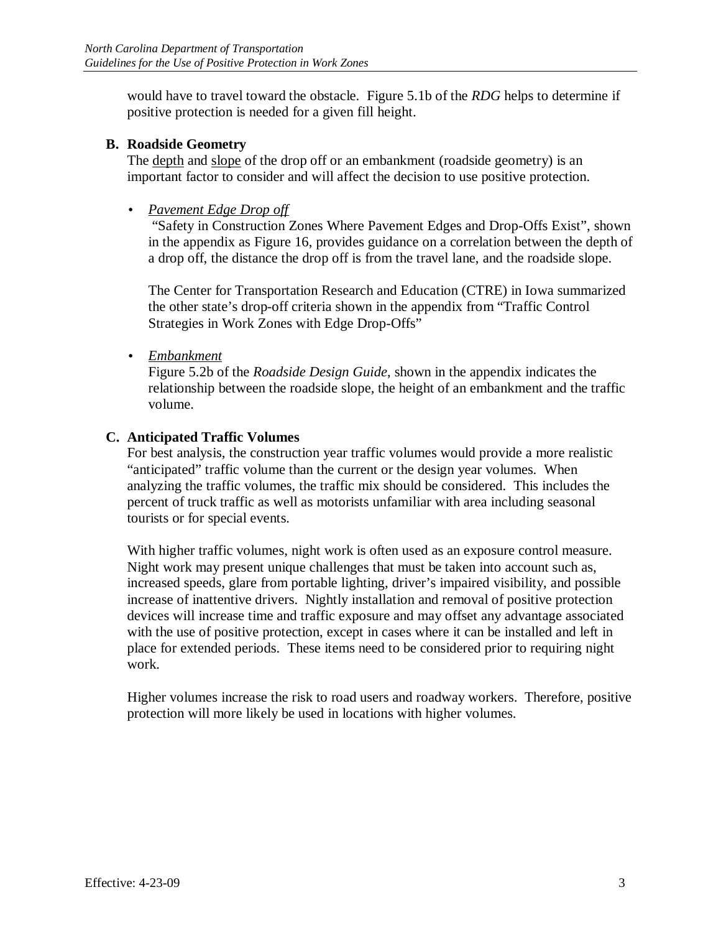would have to travel toward the obstacle. Figure 5.1b of the *RDG* helps to determine if positive protection is needed for a given fill height.

#### **B. Roadside Geometry**

The depth and slope of the drop off or an embankment (roadside geometry) is an important factor to consider and will affect the decision to use positive protection.

• *Pavement Edge Drop off*

 "Safety in Construction Zones Where Pavement Edges and Drop-Offs Exist", shown in the appendix as Figure 16, provides guidance on a correlation between the depth of a drop off, the distance the drop off is from the travel lane, and the roadside slope.

The Center for Transportation Research and Education (CTRE) in Iowa summarized the other state's drop-off criteria shown in the appendix from "Traffic Control Strategies in Work Zones with Edge Drop-Offs"

• *Embankment*

Figure 5.2b of the *Roadside Design Guide*, shown in the appendix indicates the relationship between the roadside slope, the height of an embankment and the traffic volume.

## **C. Anticipated Traffic Volumes**

For best analysis, the construction year traffic volumes would provide a more realistic "anticipated" traffic volume than the current or the design year volumes. When analyzing the traffic volumes, the traffic mix should be considered. This includes the percent of truck traffic as well as motorists unfamiliar with area including seasonal tourists or for special events.

With higher traffic volumes, night work is often used as an exposure control measure. Night work may present unique challenges that must be taken into account such as, increased speeds, glare from portable lighting, driver's impaired visibility, and possible increase of inattentive drivers. Nightly installation and removal of positive protection devices will increase time and traffic exposure and may offset any advantage associated with the use of positive protection, except in cases where it can be installed and left in place for extended periods. These items need to be considered prior to requiring night work.

Higher volumes increase the risk to road users and roadway workers. Therefore, positive protection will more likely be used in locations with higher volumes.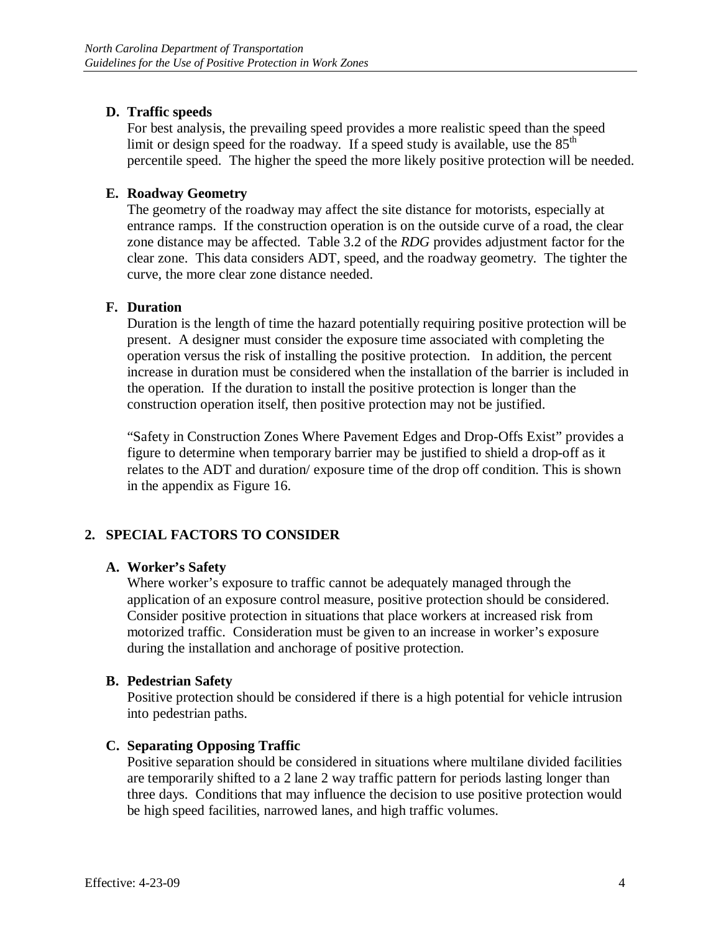## **D. Traffic speeds**

For best analysis, the prevailing speed provides a more realistic speed than the speed limit or design speed for the roadway. If a speed study is available, use the  $85<sup>th</sup>$ percentile speed. The higher the speed the more likely positive protection will be needed.

## **E. Roadway Geometry**

The geometry of the roadway may affect the site distance for motorists, especially at entrance ramps. If the construction operation is on the outside curve of a road, the clear zone distance may be affected. Table 3.2 of the *RDG* provides adjustment factor for the clear zone. This data considers ADT, speed, and the roadway geometry. The tighter the curve, the more clear zone distance needed.

## **F. Duration**

Duration is the length of time the hazard potentially requiring positive protection will be present. A designer must consider the exposure time associated with completing the operation versus the risk of installing the positive protection. In addition, the percent increase in duration must be considered when the installation of the barrier is included in the operation. If the duration to install the positive protection is longer than the construction operation itself, then positive protection may not be justified.

"Safety in Construction Zones Where Pavement Edges and Drop-Offs Exist" provides a figure to determine when temporary barrier may be justified to shield a drop-off as it relates to the ADT and duration/ exposure time of the drop off condition. This is shown in the appendix as Figure 16.

# **2. SPECIAL FACTORS TO CONSIDER**

## **A. Worker's Safety**

Where worker's exposure to traffic cannot be adequately managed through the application of an exposure control measure, positive protection should be considered. Consider positive protection in situations that place workers at increased risk from motorized traffic. Consideration must be given to an increase in worker's exposure during the installation and anchorage of positive protection.

## **B. Pedestrian Safety**

Positive protection should be considered if there is a high potential for vehicle intrusion into pedestrian paths.

# **C. Separating Opposing Traffic**

Positive separation should be considered in situations where multilane divided facilities are temporarily shifted to a 2 lane 2 way traffic pattern for periods lasting longer than three days. Conditions that may influence the decision to use positive protection would be high speed facilities, narrowed lanes, and high traffic volumes.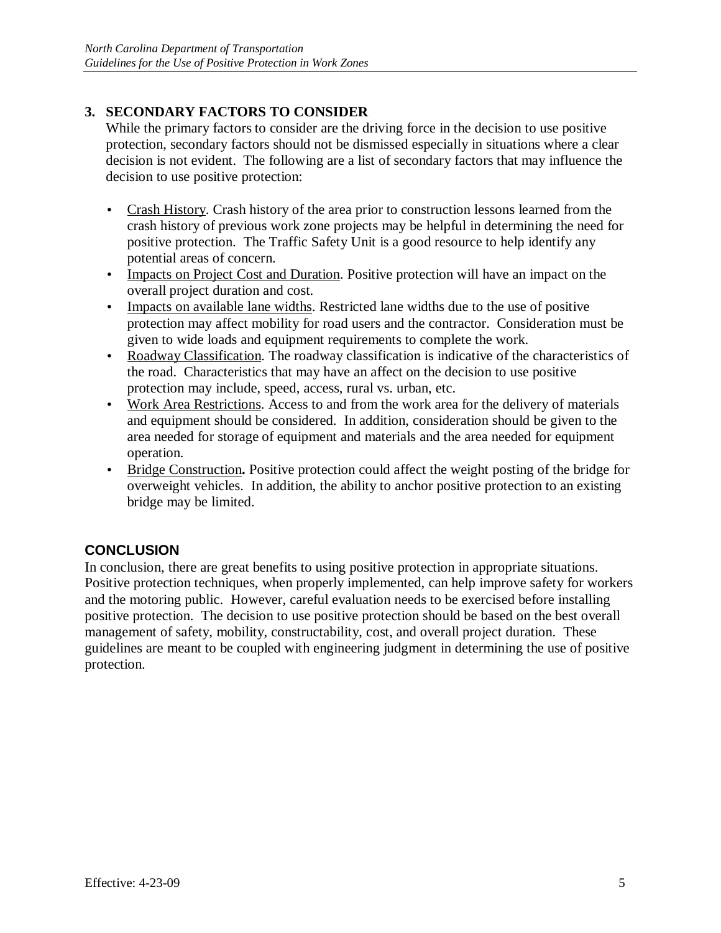# **3. SECONDARY FACTORS TO CONSIDER**

While the primary factors to consider are the driving force in the decision to use positive protection, secondary factors should not be dismissed especially in situations where a clear decision is not evident. The following are a list of secondary factors that may influence the decision to use positive protection:

- Crash History. Crash history of the area prior to construction lessons learned from the crash history of previous work zone projects may be helpful in determining the need for positive protection. The Traffic Safety Unit is a good resource to help identify any potential areas of concern.
- Impacts on Project Cost and Duration. Positive protection will have an impact on the overall project duration and cost.
- Impacts on available lane widths. Restricted lane widths due to the use of positive protection may affect mobility for road users and the contractor. Consideration must be given to wide loads and equipment requirements to complete the work.
- Roadway Classification. The roadway classification is indicative of the characteristics of the road. Characteristics that may have an affect on the decision to use positive protection may include, speed, access, rural vs. urban, etc.
- Work Area Restrictions. Access to and from the work area for the delivery of materials and equipment should be considered. In addition, consideration should be given to the area needed for storage of equipment and materials and the area needed for equipment operation.
- Bridge Construction. Positive protection could affect the weight posting of the bridge for overweight vehicles. In addition, the ability to anchor positive protection to an existing bridge may be limited.

# **CONCLUSION**

In conclusion, there are great benefits to using positive protection in appropriate situations. Positive protection techniques, when properly implemented, can help improve safety for workers and the motoring public. However, careful evaluation needs to be exercised before installing positive protection. The decision to use positive protection should be based on the best overall management of safety, mobility, constructability, cost, and overall project duration. These guidelines are meant to be coupled with engineering judgment in determining the use of positive protection.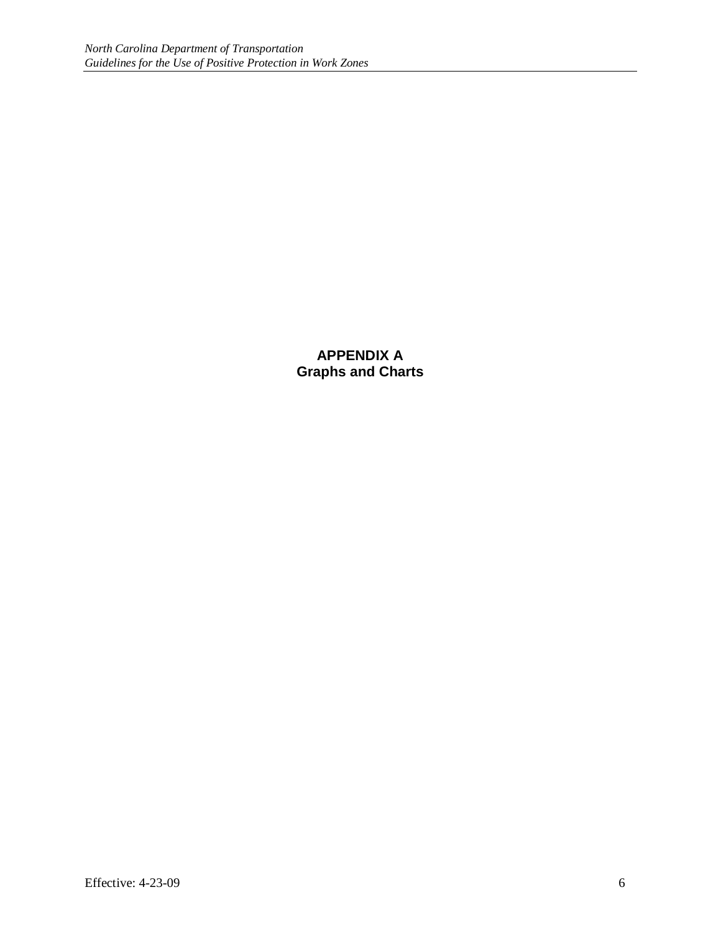**APPENDIX A Graphs and Charts**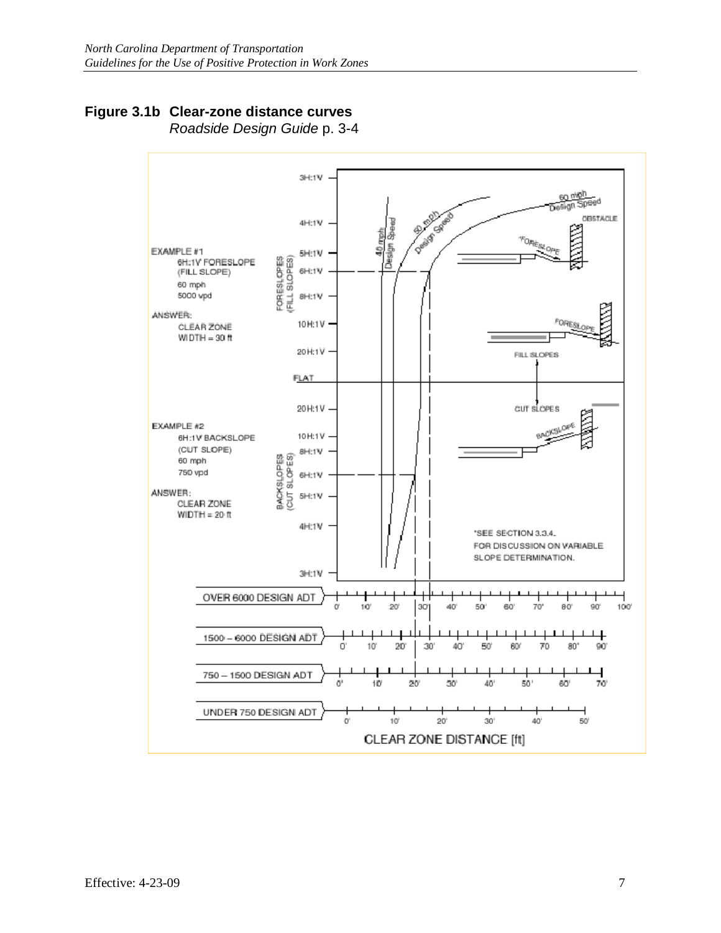# **Figure 3.1b Clear-zone distance curves**

Roadside Design Guide p. 3-4

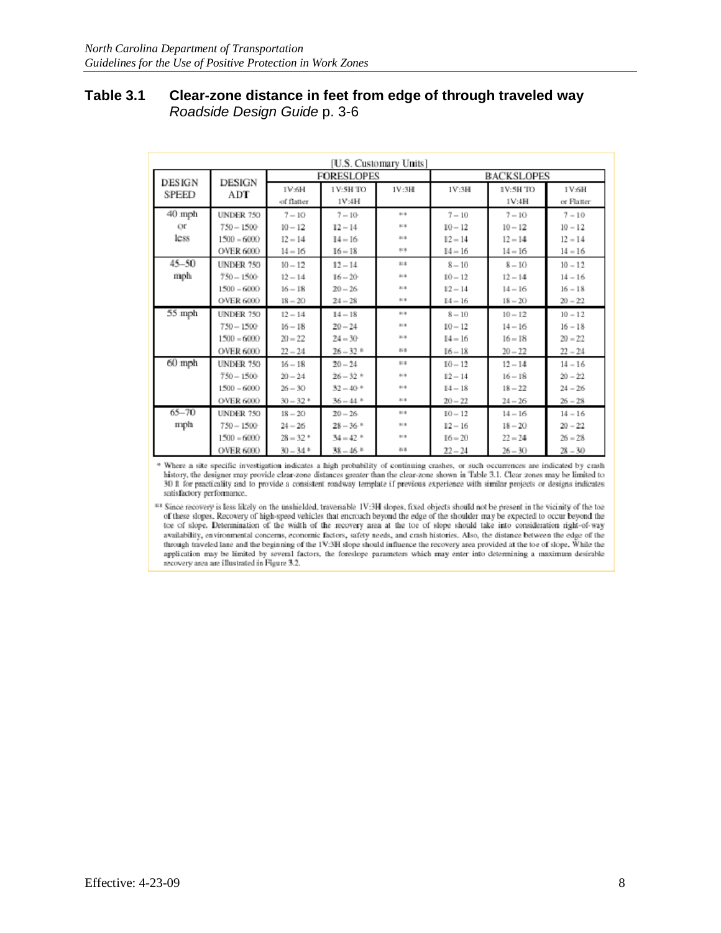#### **Table 3.1 Clear-zone distance in feet from edge of through traveled way** Roadside Design Guide p. 3-6

| [U.S. Customary Units] |                        |                   |                        |                 |                   |           |            |
|------------------------|------------------------|-------------------|------------------------|-----------------|-------------------|-----------|------------|
|                        |                        | <b>FORESLOPES</b> |                        |                 | <b>BACKSLOPES</b> |           |            |
| <b>DESIGN</b><br>SPEED | DESIGN<br>$_{\rm ADT}$ | 1V:6H             | 1V:5H TO               | 1V:3H           | 1V:3H             | 1V:5H TO  | 1V:6H      |
|                        |                        | of flatter        | 1V:4H                  |                 |                   | 1V:4H     | or Flatter |
| $40$ mph               | <b>UNDER 750</b>       | $7 - 10$          | $7 - 10$               | $8 - 8$         | $7 - 10$          | $7 - 10$  | $7 - 10$   |
| $_{\rm {OT}}$          | $750 - 1500$           | $10 - 12$         | $12 - 14$              | 37.8            | $10 - 12$         | $10 - 12$ | $10 - 12$  |
| less                   | $1500 - 6000$          | $12 - 14$         | $14 - 16$              | 818             | $12 - 14$         | $12 - 14$ | $12 - 14$  |
|                        | <b>OVER 6000</b>       | $14 - 16$         | $16 - 18$              | 818             | $14 - 16$         | $14 - 16$ | $14 - 16$  |
| $45 - 50$              | UNDER 750              | $10 - 12$         | $12 - 14$              | 378             | $8 - 10$          | $8 - 10$  | $10 - 12$  |
| mph                    | $750 - 1500$           | $12 - 14$         | $16 - 20$              | 818             | $10 - 12$         | $12 - 14$ | $14 - 16$  |
|                        | $1500 - 6000$          | $16 - 18$         | $20 - 26$              | 818             | $12 - 14$         | $14 - 16$ | $16 - 18$  |
|                        | <b>OVER 6000</b>       | $18 - 20$         | $24 - 28$              | 818             | $14 - 16$         | $18 - 20$ | $20 - 22$  |
| $55$ mph               | <b>UNDER 750</b>       | $12 - 14$         | $14 - 18$              | 3:8             | $8 - 10$          | $10 - 12$ | $10 - 12$  |
|                        | $750 - 1500$           | $16 - 18$         | $20 - 24$              | 3:8             | $10 - 12$         | $14 - 16$ | $16 - 18$  |
|                        | $1500 - 6000$          | $20 - 22$         | $24 - 30$              | 30.8            | $14 - 16$         | $16 - 18$ | $20 - 22$  |
|                        | <b>OVER 6000</b>       | $22 - 24$         | $26 - 32.$ *           | 818             | $16 - 18$         | $20 - 22$ | $22 - 24$  |
| $60$ mph               | UNDER 750              | $16 - 18$         | $20 - 24$              | 記名              | $10 - 12$         | $12 - 14$ | $14 - 16$  |
|                        | $750 - 1500$           | $20 - 24$         | $26 - 32$ *            | $\frac{1}{2}$ : | $12 - 14$         | $16 - 18$ | $20 - 22$  |
|                        | $1500 - 6000$          | $26 - 30$         | $32 - 40$ *            | 37.8            | $14 - 18$         | $18 - 22$ | $24 - 26$  |
|                        | <b>OVER 6000</b>       | $30 - 32$ *       | $36 - 44$ *            | 30.8            | $20 - 22$         | $24 - 26$ | $26 - 28$  |
| $65 - 70$              | UNDER 750              | $18 - 20$         | $20 - 26$              | 818             | $10 - 12$         | $14 - 16$ | $14 - 16$  |
| mph                    | $750 - 1500$           | $24 - 26$         | $28 - 36$ *            | 37.8            | $12 - 16$         | $18 - 20$ | $20 - 22$  |
|                        | $1500 - 6000$          | $28 - 32$ *       | $34 - 42$ <sup>*</sup> | $8 - 8$         | $16 - 20$         | $22 - 24$ | $26 = 28$  |
|                        | <b>OVER 6000</b>       | $30 - 34$ *       | $38 - 46$ <sup>*</sup> | 新春              | $22 - 24$         | $26 - 30$ | $28 - 30$  |

\* Where a site specific investigation indicates a high probability of continuing crashes, or such occurrences are indicated by crash history, the designer may provide clear-zone distances greater than the clear-zone shown in Table 3.1. Clear zones may be limited to 30 ft for practicality and to provide a consistent roadway template if previous experience with similar projects or designs indicates satisfactory performance.

\*\* Since recovery is less likely on the unshielded, traversable 1V:3H slopes, fixed objects should not be present in the vicinity of the toe of these slopes. Recovery of high-speed vehicles that encroach beyond the edge of the shoulder may be expected to occur beyond the toe of slope. Determination of the width of the recovery area at the toe of slope should take into consideration right-of-way availability, environmental concerns, economic factors, safety needs, and crash histories. Also, the distance between the edge of the through traveled lane and the beginning of the 1V:3H slope should influence the recovery area provided at the toe of slope. While the application may be limited by several factors, the foreshope parameters which may enter into determining a maximum desirable recovery area are illustrated in Figure 3.2.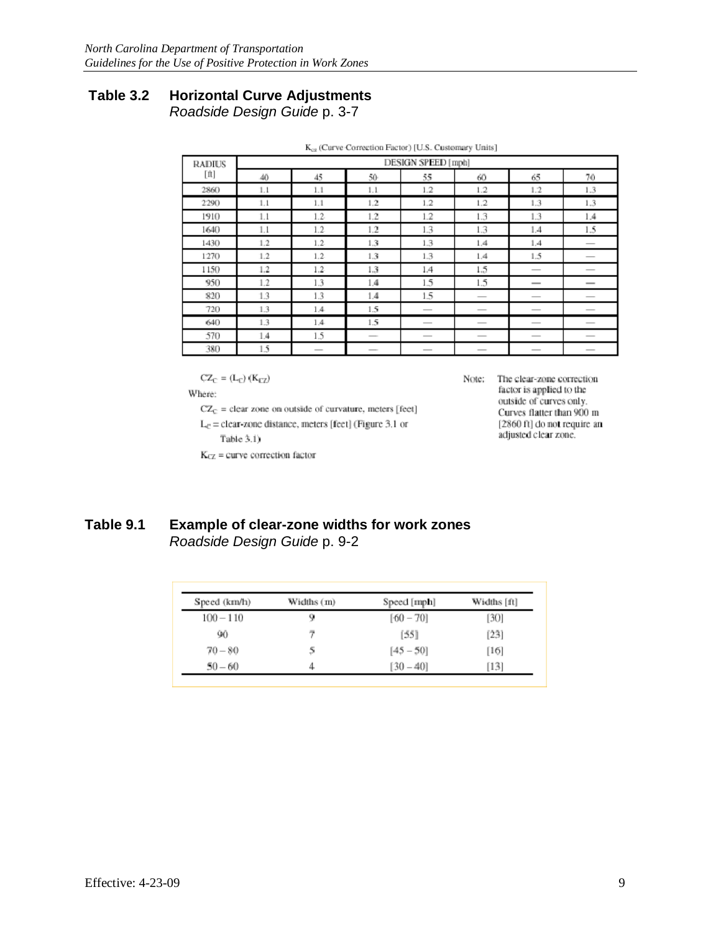# **Table 3.2 Horizontal Curve Adjustments**

Roadside Design Guide p. 3-7

| <b>RADIUS</b> | DESIGN SPEED [mph] |                                 |                                                                                                                                                                                                                                                                                                                                                                                                                                                                            |                          |                          |                                 |                          |
|---------------|--------------------|---------------------------------|----------------------------------------------------------------------------------------------------------------------------------------------------------------------------------------------------------------------------------------------------------------------------------------------------------------------------------------------------------------------------------------------------------------------------------------------------------------------------|--------------------------|--------------------------|---------------------------------|--------------------------|
| [ft]          | 40                 | 45                              | 50-                                                                                                                                                                                                                                                                                                                                                                                                                                                                        | 55                       | 60                       | 65.                             | 70                       |
| 2860          | 1.1                | 1.1                             | 1.1                                                                                                                                                                                                                                                                                                                                                                                                                                                                        | 1.2                      | 1.2                      | 1.2                             | 1.3                      |
| 2290          | 1.1                | 1.1                             | 1.2                                                                                                                                                                                                                                                                                                                                                                                                                                                                        | 1.2                      | 1.2                      | 1.3                             | 1.3                      |
| 1910          | 1.1                | $1.2 -$                         | 1.2                                                                                                                                                                                                                                                                                                                                                                                                                                                                        | 1.2                      | 1.3                      | 1.3                             | 1.4                      |
| 1640          | 1.1                | 1.2.                            | $1.2\,$                                                                                                                                                                                                                                                                                                                                                                                                                                                                    | 1.3                      | 1.3                      | 1.4                             | 1.5                      |
| 1430          | 1.2                | $1.2 -$                         | 1.3                                                                                                                                                                                                                                                                                                                                                                                                                                                                        | 1.3                      | 1.4                      | 1.4                             |                          |
| 1270          | 1.2                | $1.2 -$                         | 1.3                                                                                                                                                                                                                                                                                                                                                                                                                                                                        | 1.3                      | 1.4                      | 1.5                             |                          |
| 1150          | 1.2                | $1.2 -$                         | 1.3                                                                                                                                                                                                                                                                                                                                                                                                                                                                        | 1.4                      | 1.5                      | $\qquad \qquad$                 |                          |
| 950           | 1.2                | 1.3                             | 1.4                                                                                                                                                                                                                                                                                                                                                                                                                                                                        | 1.5                      | 1.5                      | $\overline{\phantom{a}}$        |                          |
| 820           | 1.3                | 1.3                             | 1.4                                                                                                                                                                                                                                                                                                                                                                                                                                                                        | 1.5                      |                          |                                 | _                        |
| 720           | 1.3                | 1.4                             | 1.5                                                                                                                                                                                                                                                                                                                                                                                                                                                                        | $\overline{\phantom{a}}$ | $\qquad \qquad$          | $\overline{\phantom{a}}$        | $\overline{\phantom{a}}$ |
| 640           | 1.3                | 1.4                             | 1.5                                                                                                                                                                                                                                                                                                                                                                                                                                                                        | $\overline{\phantom{a}}$ | $\overline{\phantom{a}}$ |                                 | __                       |
| 570           | 1.4                | 1.5                             | $\frac{1}{2} \left( \frac{1}{2} \right) \left( \frac{1}{2} \right) \left( \frac{1}{2} \right) \left( \frac{1}{2} \right) \left( \frac{1}{2} \right) \left( \frac{1}{2} \right) \left( \frac{1}{2} \right) \left( \frac{1}{2} \right) \left( \frac{1}{2} \right) \left( \frac{1}{2} \right) \left( \frac{1}{2} \right) \left( \frac{1}{2} \right) \left( \frac{1}{2} \right) \left( \frac{1}{2} \right) \left( \frac{1}{2} \right) \left( \frac{1}{2} \right) \left( \frac$ |                          |                          |                                 |                          |
| 380           | 1.5                | $\hspace{0.1mm}-\hspace{0.1mm}$ | $\overline{\phantom{a}}$                                                                                                                                                                                                                                                                                                                                                                                                                                                   | $\hspace{0.05cm}$        | $\overline{\phantom{a}}$ | $\hspace{0.1mm}-\hspace{0.1mm}$ | $\qquad \qquad$          |

| $K_{cx}$ (Curve Correction Factor) [U.S. Customary Units] |  |  |
|-----------------------------------------------------------|--|--|
|                                                           |  |  |

$$
CZ_C = (L_C) (K_{CZ})
$$

Where:

 $CZ_C$  = clear zone on outside of curvature, meters [feet]

 $L_c$  = clear-zone distance, meters [feet] (Figure 3.1 or

Table  $3.1$ )

 $K<sub>CZ</sub>$  = curve correction factor

Note: The clear-zone correction factor is applied to the outside of curves only. Curves flatter than 900 m [2860 ft] do not require an adjusted clear zone.

## **Table 9.1 Example of clear-zone widths for work zones**  Roadside Design Guide p. 9-2

| Speed (km/h) | Widths (m) | Speed [mph] | Widths [ft] |
|--------------|------------|-------------|-------------|
| $100 - 110$  | 9          | $[60 - 70]$ | [30]        |
| 90.          | 7          | [55]        | [23]        |
| $70 - 80$    | 5          | $[45 - 50]$ | $[16]$      |
| $50 - 60$    |            | $[30 - 40]$ | [13]        |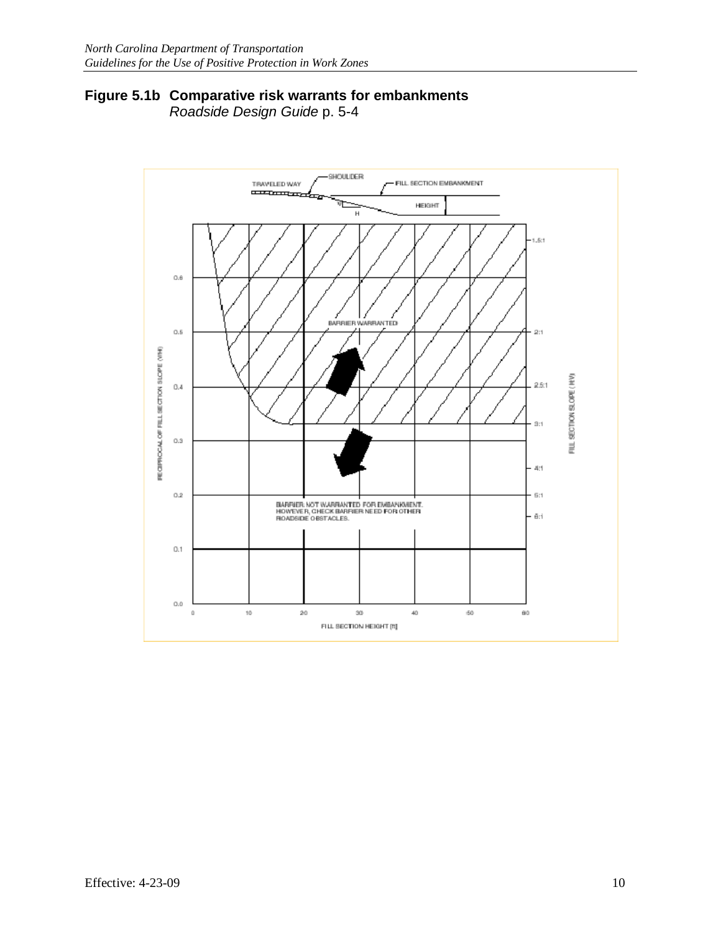## **Figure 5.1b Comparative risk warrants for embankments** Roadside Design Guide p. 5-4

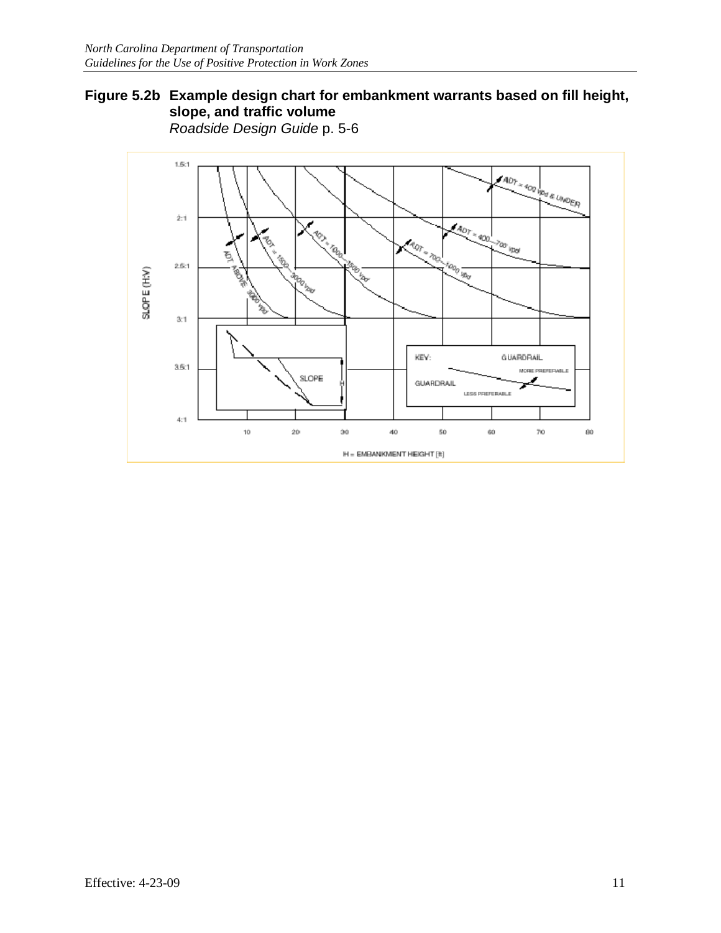## **Figure 5.2b Example design chart for embankment warrants based on fill height, slope, and traffic volume** Roadside Design Guide p. 5-6

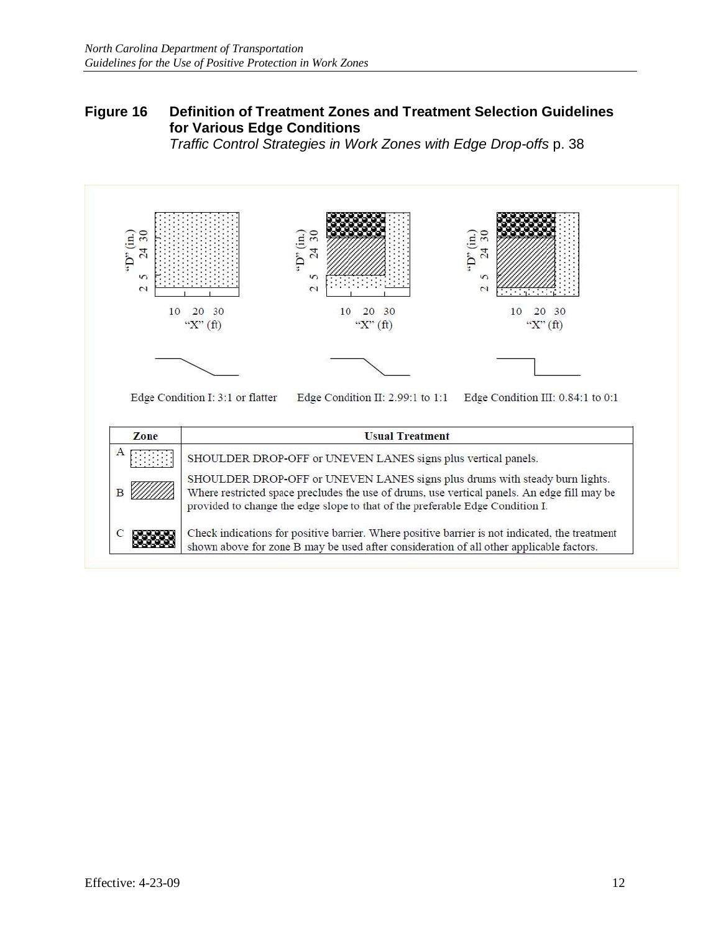# **Figure 16 Definition of Treatment Zones and Treatment Selection Guidelines for Various Edge Conditions**

Traffic Control Strategies in Work Zones with Edge Drop-offs p. 38



Check indications for positive barrier. Where positive barrier is not indicated, the treatment shown above for zone B may be used after consideration of all other applicable factors.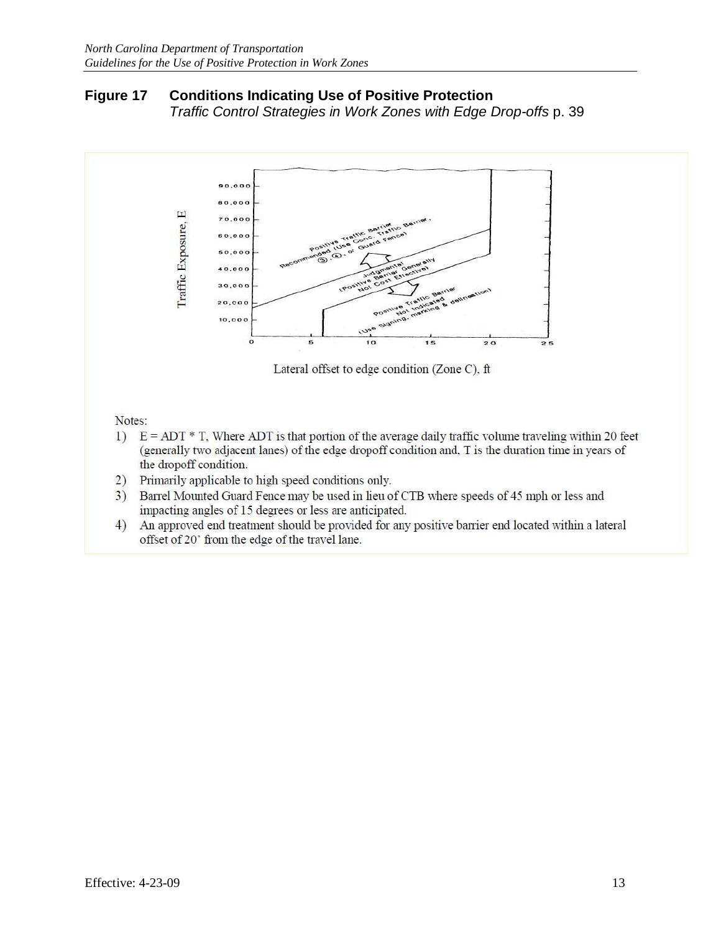## **Figure 17 Conditions Indicating Use of Positive Protection**  Traffic Control Strategies in Work Zones with Edge Drop-offs p. 39



- (generally two adjacent lanes) of the edge dropoff condition and, T is the duration time in years of the dropoff condition.
- 2) Primarily applicable to high speed conditions only.
- 3) Barrel Mounted Guard Fence may be used in lieu of CTB where speeds of 45 mph or less and impacting angles of 15 degrees or less are anticipated.
- 4) An approved end treatment should be provided for any positive barrier end located within a lateral offset of 20' from the edge of the travel lane.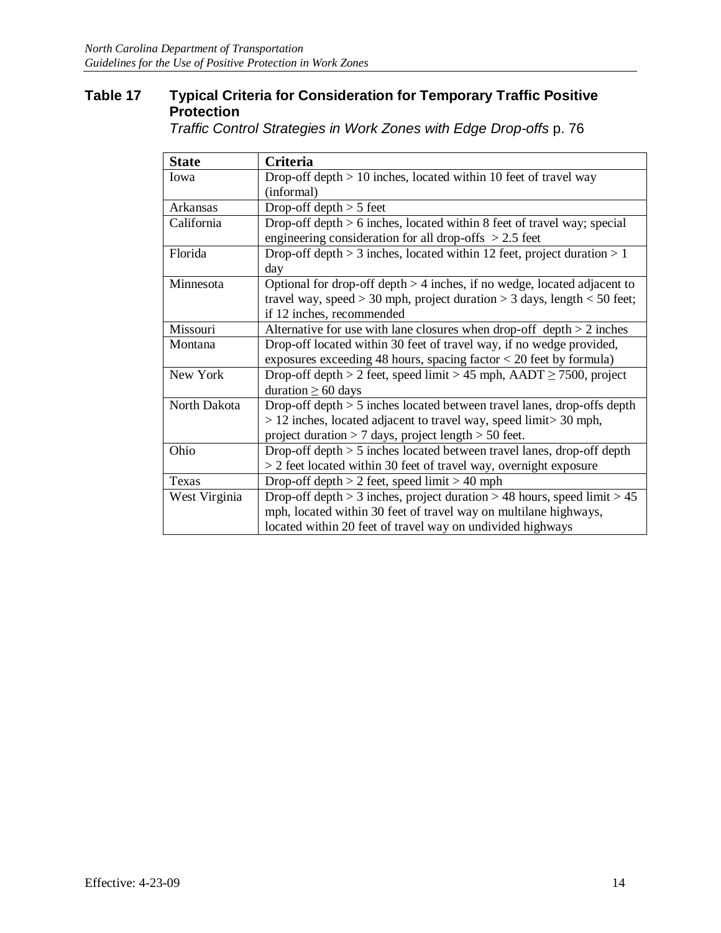# **Table 17 Typical Criteria for Consideration for Temporary Traffic Positive Protection**

Traffic Control Strategies in Work Zones with Edge Drop-offs p. 76

| <b>State</b>  | Criteria                                                                       |
|---------------|--------------------------------------------------------------------------------|
| Iowa          | Drop-off depth $> 10$ inches, located within 10 feet of travel way             |
|               | (informal)                                                                     |
| Arkansas      | Drop-off depth $> 5$ feet                                                      |
| California    | Drop-off depth $> 6$ inches, located within 8 feet of travel way; special      |
|               | engineering consideration for all drop-offs $> 2.5$ feet                       |
| Florida       | Drop-off depth $> 3$ inches, located within 12 feet, project duration $> 1$    |
|               | day                                                                            |
| Minnesota     | Optional for drop-off depth $>$ 4 inches, if no wedge, located adjacent to     |
|               | travel way, speed $>$ 30 mph, project duration $>$ 3 days, length $<$ 50 feet; |
|               | if 12 inches, recommended                                                      |
| Missouri      | Alternative for use with lane closures when drop-off depth $> 2$ inches        |
| Montana       | Drop-off located within 30 feet of travel way, if no wedge provided,           |
|               | exposures exceeding 48 hours, spacing factor $<$ 20 feet by formula)           |
| New York      | Drop-off depth > 2 feet, speed limit > 45 mph, $AADT \ge 7500$ , project       |
|               | duration $\geq 60$ days                                                        |
| North Dakota  | Drop-off depth $> 5$ inches located between travel lanes, drop-offs depth      |
|               | $> 12$ inches, located adjacent to travel way, speed limit $> 30$ mph,         |
|               | project duration $> 7$ days, project length $> 50$ feet.                       |
| Ohio          | Drop-off depth > 5 inches located between travel lanes, drop-off depth         |
|               | > 2 feet located within 30 feet of travel way, overnight exposure              |
| Texas         | Drop-off depth $> 2$ feet, speed limit $> 40$ mph                              |
| West Virginia | Drop-off depth $> 3$ inches, project duration $> 48$ hours, speed limit $> 45$ |
|               | mph, located within 30 feet of travel way on multilane highways,               |
|               | located within 20 feet of travel way on undivided highways                     |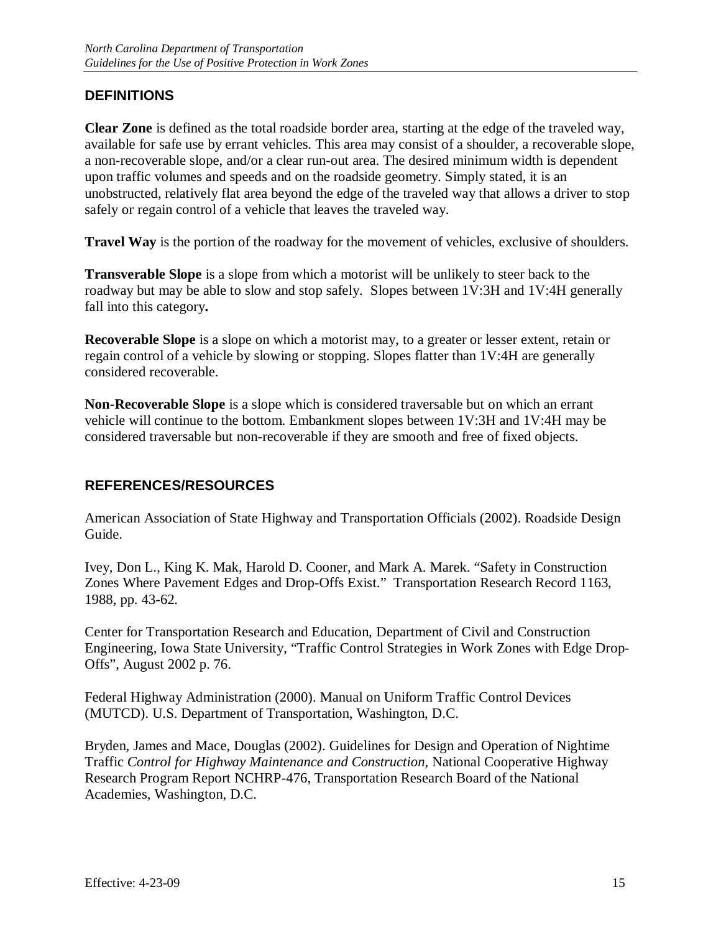# **DEFINITIONS**

**Clear Zone** is defined as the total roadside border area, starting at the edge of the traveled way, available for safe use by errant vehicles. This area may consist of a shoulder, a recoverable slope, a non-recoverable slope, and/or a clear run-out area. The desired minimum width is dependent upon traffic volumes and speeds and on the roadside geometry. Simply stated, it is an unobstructed, relatively flat area beyond the edge of the traveled way that allows a driver to stop safely or regain control of a vehicle that leaves the traveled way.

**Travel Way** is the portion of the roadway for the movement of vehicles, exclusive of shoulders.

**Transverable Slope** is a slope from which a motorist will be unlikely to steer back to the roadway but may be able to slow and stop safely. Slopes between 1V:3H and 1V:4H generally fall into this category**.** 

**Recoverable Slope** is a slope on which a motorist may, to a greater or lesser extent, retain or regain control of a vehicle by slowing or stopping. Slopes flatter than 1V:4H are generally considered recoverable.

**Non-Recoverable Slope** is a slope which is considered traversable but on which an errant vehicle will continue to the bottom. Embankment slopes between 1V:3H and 1V:4H may be considered traversable but non-recoverable if they are smooth and free of fixed objects.

# **REFERENCES/RESOURCES**

American Association of State Highway and Transportation Officials (2002). Roadside Design Guide.

Ivey, Don L., King K. Mak, Harold D. Cooner, and Mark A. Marek. "Safety in Construction Zones Where Pavement Edges and Drop-Offs Exist." Transportation Research Record 1163, 1988, pp. 43-62.

Center for Transportation Research and Education, Department of Civil and Construction Engineering, Iowa State University, "Traffic Control Strategies in Work Zones with Edge Drop-Offs", August 2002 p. 76.

Federal Highway Administration (2000). Manual on Uniform Traffic Control Devices (MUTCD). U.S. Department of Transportation, Washington, D.C.

Bryden, James and Mace, Douglas (2002). Guidelines for Design and Operation of Nightime Traffic *Control for Highway Maintenance and Construction,* National Cooperative Highway Research Program Report NCHRP-476, Transportation Research Board of the National Academies, Washington, D.C.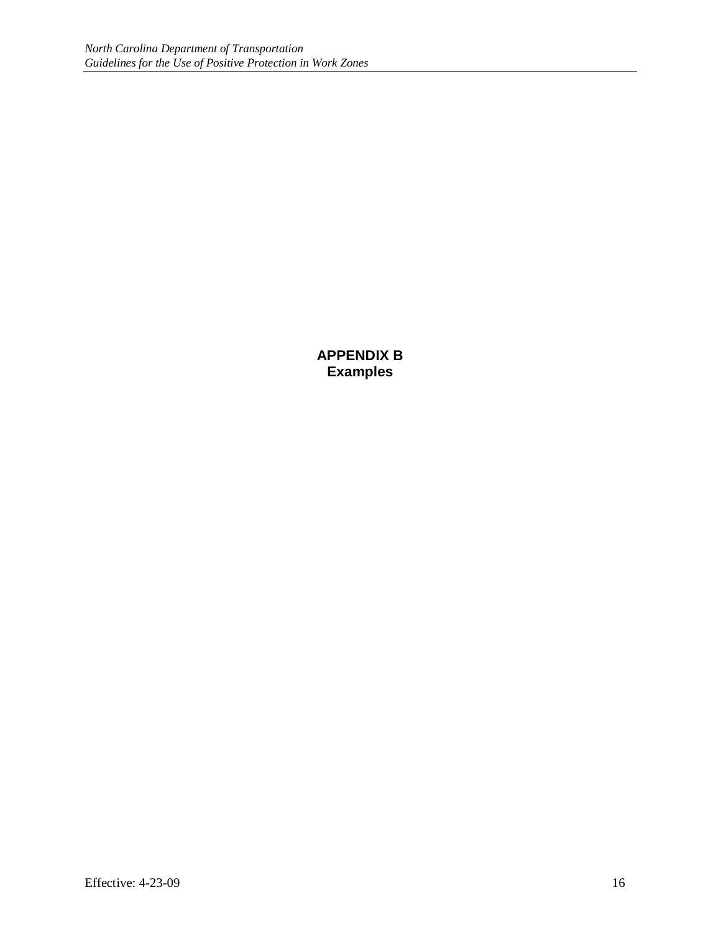**APPENDIX B Examples**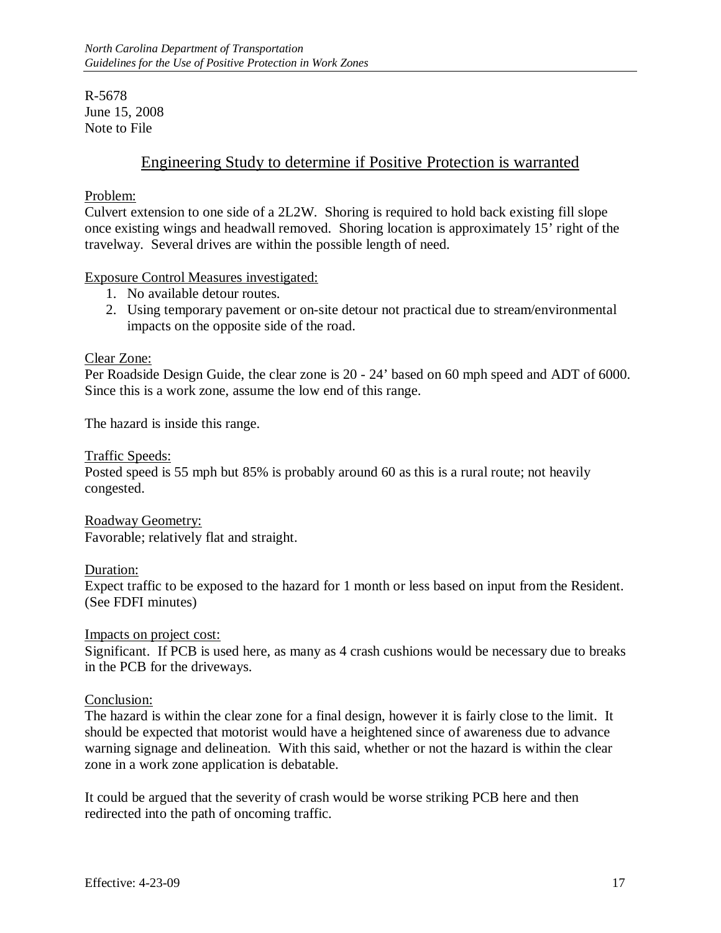R-5678 June 15, 2008 Note to File

# Engineering Study to determine if Positive Protection is warranted

#### Problem:

Culvert extension to one side of a 2L2W. Shoring is required to hold back existing fill slope once existing wings and headwall removed. Shoring location is approximately 15' right of the travelway. Several drives are within the possible length of need.

#### Exposure Control Measures investigated:

- 1. No available detour routes.
- 2. Using temporary pavement or on-site detour not practical due to stream/environmental impacts on the opposite side of the road.

#### Clear Zone:

Per Roadside Design Guide, the clear zone is 20 - 24' based on 60 mph speed and ADT of 6000. Since this is a work zone, assume the low end of this range.

The hazard is inside this range.

Traffic Speeds:

Posted speed is 55 mph but 85% is probably around 60 as this is a rural route; not heavily congested.

Roadway Geometry: Favorable; relatively flat and straight.

Duration:

Expect traffic to be exposed to the hazard for 1 month or less based on input from the Resident. (See FDFI minutes)

Impacts on project cost:

Significant. If PCB is used here, as many as 4 crash cushions would be necessary due to breaks in the PCB for the driveways.

## Conclusion:

The hazard is within the clear zone for a final design, however it is fairly close to the limit. It should be expected that motorist would have a heightened since of awareness due to advance warning signage and delineation. With this said, whether or not the hazard is within the clear zone in a work zone application is debatable.

It could be argued that the severity of crash would be worse striking PCB here and then redirected into the path of oncoming traffic.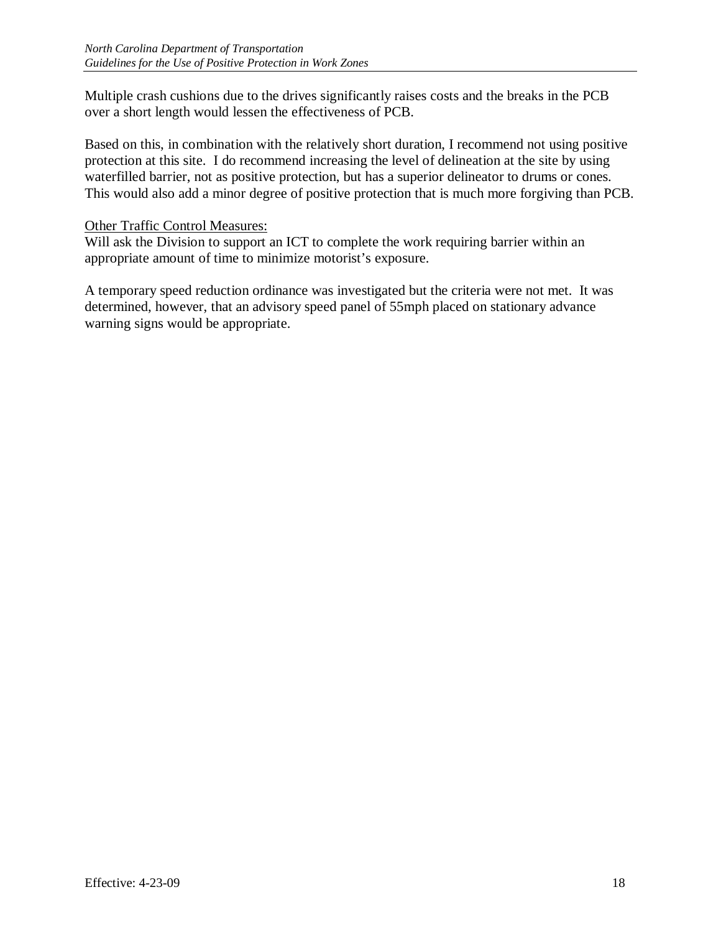Multiple crash cushions due to the drives significantly raises costs and the breaks in the PCB over a short length would lessen the effectiveness of PCB.

Based on this, in combination with the relatively short duration, I recommend not using positive protection at this site. I do recommend increasing the level of delineation at the site by using waterfilled barrier, not as positive protection, but has a superior delineator to drums or cones. This would also add a minor degree of positive protection that is much more forgiving than PCB.

#### Other Traffic Control Measures:

Will ask the Division to support an ICT to complete the work requiring barrier within an appropriate amount of time to minimize motorist's exposure.

A temporary speed reduction ordinance was investigated but the criteria were not met. It was determined, however, that an advisory speed panel of 55mph placed on stationary advance warning signs would be appropriate.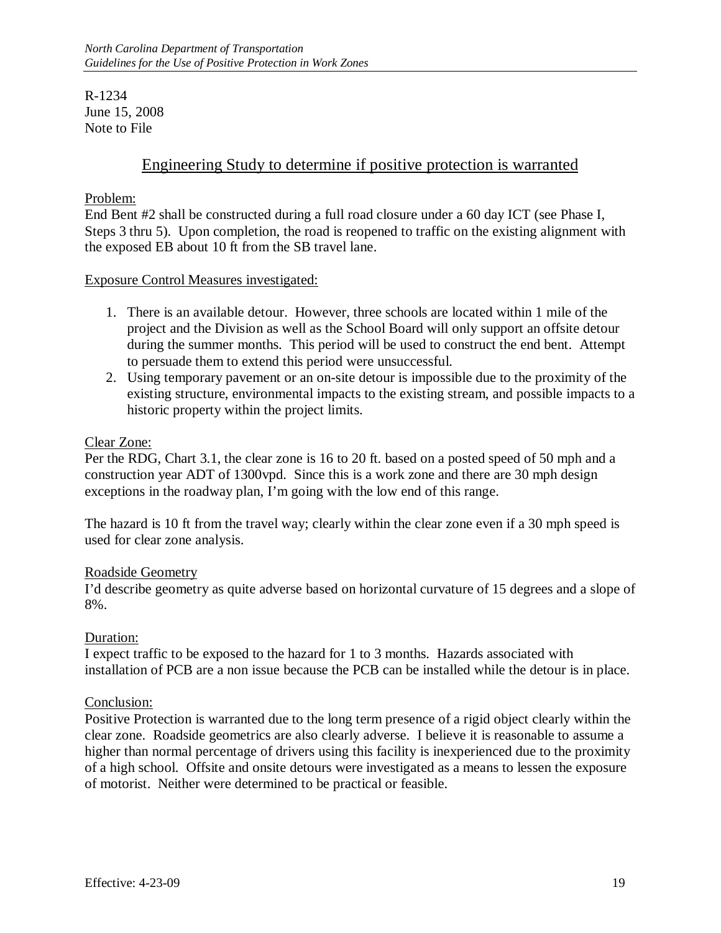R-1234 June 15, 2008 Note to File

# Engineering Study to determine if positive protection is warranted

#### Problem:

End Bent #2 shall be constructed during a full road closure under a 60 day ICT (see Phase I, Steps 3 thru 5). Upon completion, the road is reopened to traffic on the existing alignment with the exposed EB about 10 ft from the SB travel lane.

#### Exposure Control Measures investigated:

- 1. There is an available detour. However, three schools are located within 1 mile of the project and the Division as well as the School Board will only support an offsite detour during the summer months. This period will be used to construct the end bent. Attempt to persuade them to extend this period were unsuccessful.
- 2. Using temporary pavement or an on-site detour is impossible due to the proximity of the existing structure, environmental impacts to the existing stream, and possible impacts to a historic property within the project limits.

#### Clear Zone:

Per the RDG, Chart 3.1, the clear zone is 16 to 20 ft. based on a posted speed of 50 mph and a construction year ADT of 1300vpd. Since this is a work zone and there are 30 mph design exceptions in the roadway plan, I'm going with the low end of this range.

The hazard is 10 ft from the travel way; clearly within the clear zone even if a 30 mph speed is used for clear zone analysis.

#### Roadside Geometry

I'd describe geometry as quite adverse based on horizontal curvature of 15 degrees and a slope of 8%.

#### Duration:

I expect traffic to be exposed to the hazard for 1 to 3 months. Hazards associated with installation of PCB are a non issue because the PCB can be installed while the detour is in place.

#### Conclusion:

Positive Protection is warranted due to the long term presence of a rigid object clearly within the clear zone. Roadside geometrics are also clearly adverse. I believe it is reasonable to assume a higher than normal percentage of drivers using this facility is inexperienced due to the proximity of a high school. Offsite and onsite detours were investigated as a means to lessen the exposure of motorist. Neither were determined to be practical or feasible.